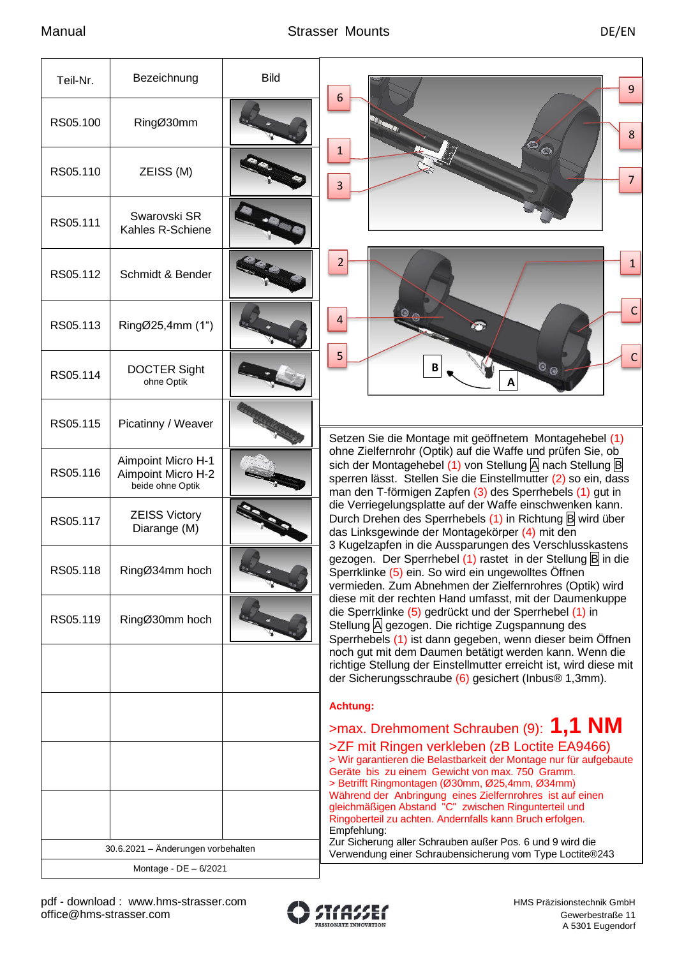